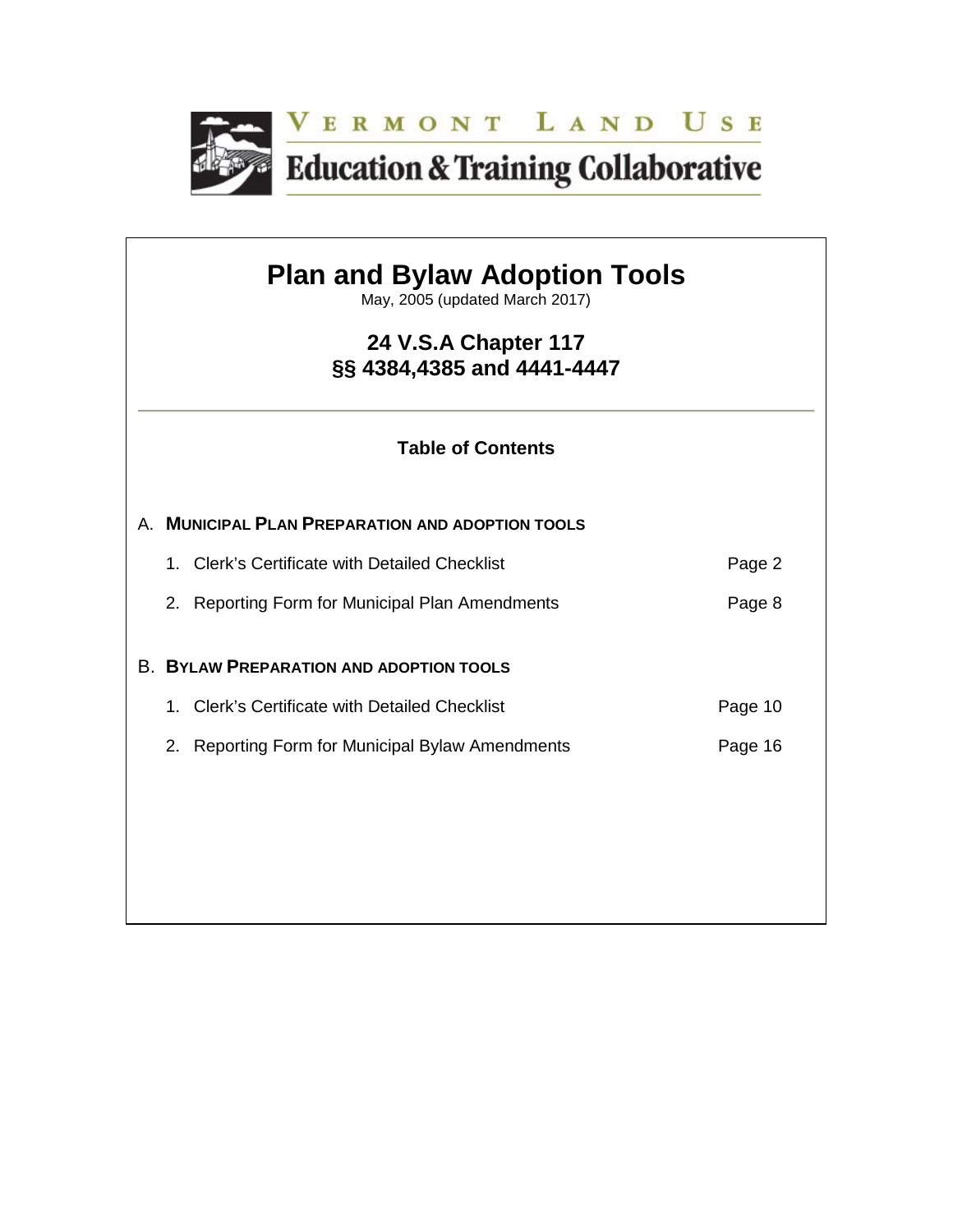

# **Plan and Bylaw Adoption Tools**

May, 2005 (updated March 2017)

# **24 V.S.A Chapter 117 §§ 4384,4385 and 4441-4447**

# **Table of Contents**

|  | A. MUNICIPAL PLAN PREPARATION AND ADOPTION TOOLS |         |
|--|--------------------------------------------------|---------|
|  | 1. Clerk's Certificate with Detailed Checklist   | Page 2  |
|  | 2. Reporting Form for Municipal Plan Amendments  | Page 8  |
|  | <b>B. BYLAW PREPARATION AND ADOPTION TOOLS</b>   |         |
|  | 1. Clerk's Certificate with Detailed Checklist   | Page 10 |
|  | 2. Reporting Form for Municipal Bylaw Amendments | Page 16 |
|  |                                                  |         |
|  |                                                  |         |
|  |                                                  |         |
|  |                                                  |         |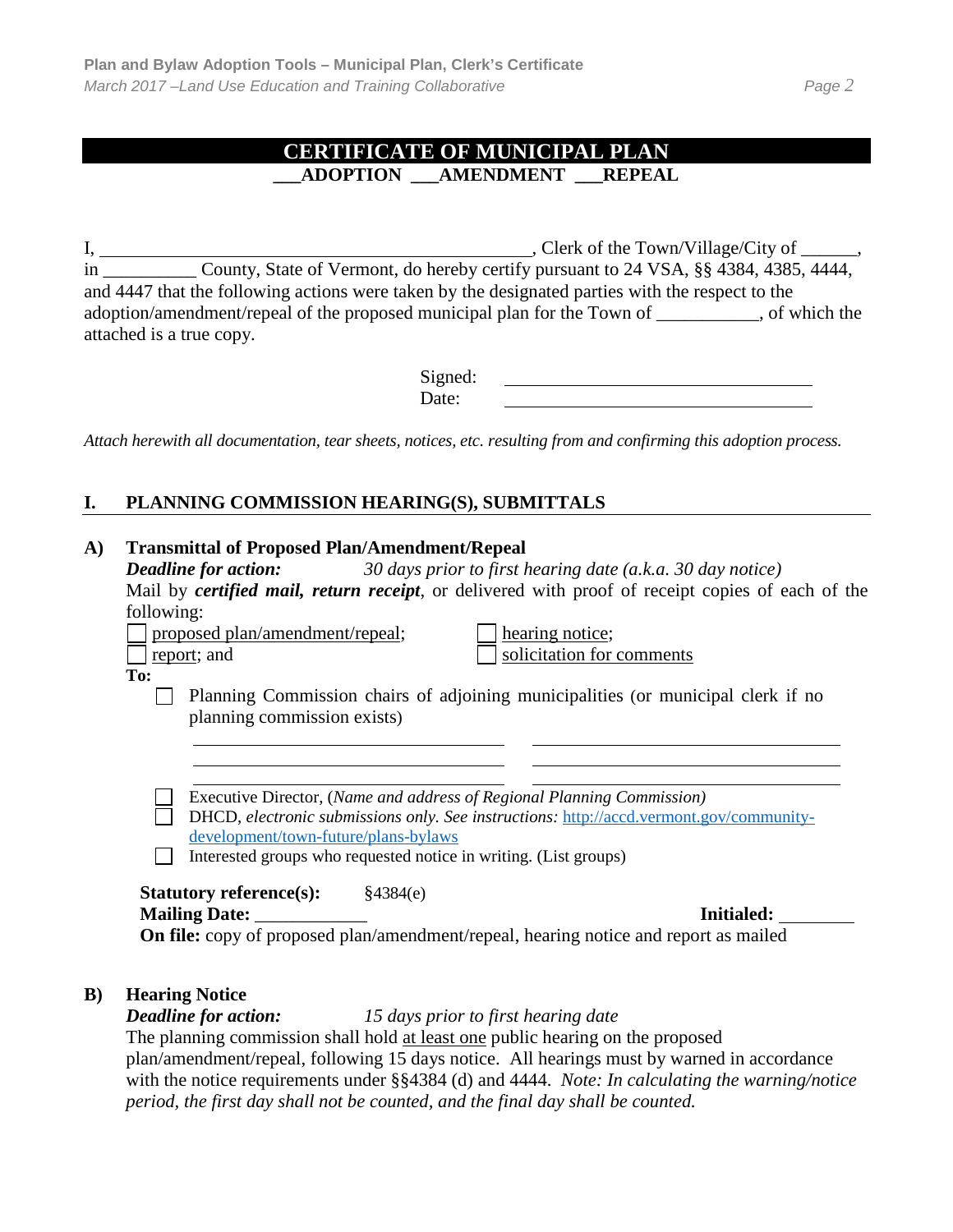# **CERTIFICATE OF MUNICIPAL PLAN \_\_\_ADOPTION \_\_\_AMENDMENT \_\_\_REPEAL**

I, , Clerk of the Town/Village/City of \_\_\_\_\_\_, in \_\_\_\_\_\_\_\_\_\_ County, State of Vermont, do hereby certify pursuant to 24 VSA, §§ 4384, 4385, 4444, and 4447 that the following actions were taken by the designated parties with the respect to the adoption/amendment/repeal of the proposed municipal plan for the Town of \_\_\_\_\_\_\_\_\_\_\_, of which the attached is a true copy.

> Signed: Date:

*Attach herewith all documentation, tear sheets, notices, etc. resulting from and confirming this adoption process.*

#### **I. PLANNING COMMISSION HEARING(S), SUBMITTALS**

#### **A) Transmittal of Proposed Plan/Amendment/Repeal**

*Deadline for action: 30 days prior to first hearing date (a.k.a. 30 day notice)* Mail by *certified mail, return receipt*, or delivered with proof of receipt copies of each of the following:

proposed plan/amendment/repeal; hearing notice;

report; and solicitation for comments

**To:**

Planning Commission chairs of adjoining municipalities (or municipal clerk if no planning commission exists)

Executive Director, (*Name and address of Regional Planning Commission)* DHCD, *electronic submissions only. See instructions:* [http://accd.vermont.gov/community-](http://accd.vermont.gov/community-development/town-future/plans-bylaws)

[development/town-future/plans-bylaws](http://accd.vermont.gov/community-development/town-future/plans-bylaws)  $\Box$  Interested groups who requested notice in writing. (List groups)

#### **Statutory reference(s):** §4384(e) **Mailing Date:** \_\_\_\_\_\_\_\_\_\_\_\_ **Initialed:**

**On file:** copy of proposed plan/amendment/repeal, hearing notice and report as mailed

#### **B) Hearing Notice**

*Deadline for action: 15 days prior to first hearing date*

The planning commission shall hold at least one public hearing on the proposed plan/amendment/repeal, following 15 days notice. All hearings must by warned in accordance with the notice requirements under §§4384 (d) and 4444. *Note: In calculating the warning/notice period, the first day shall not be counted, and the final day shall be counted.*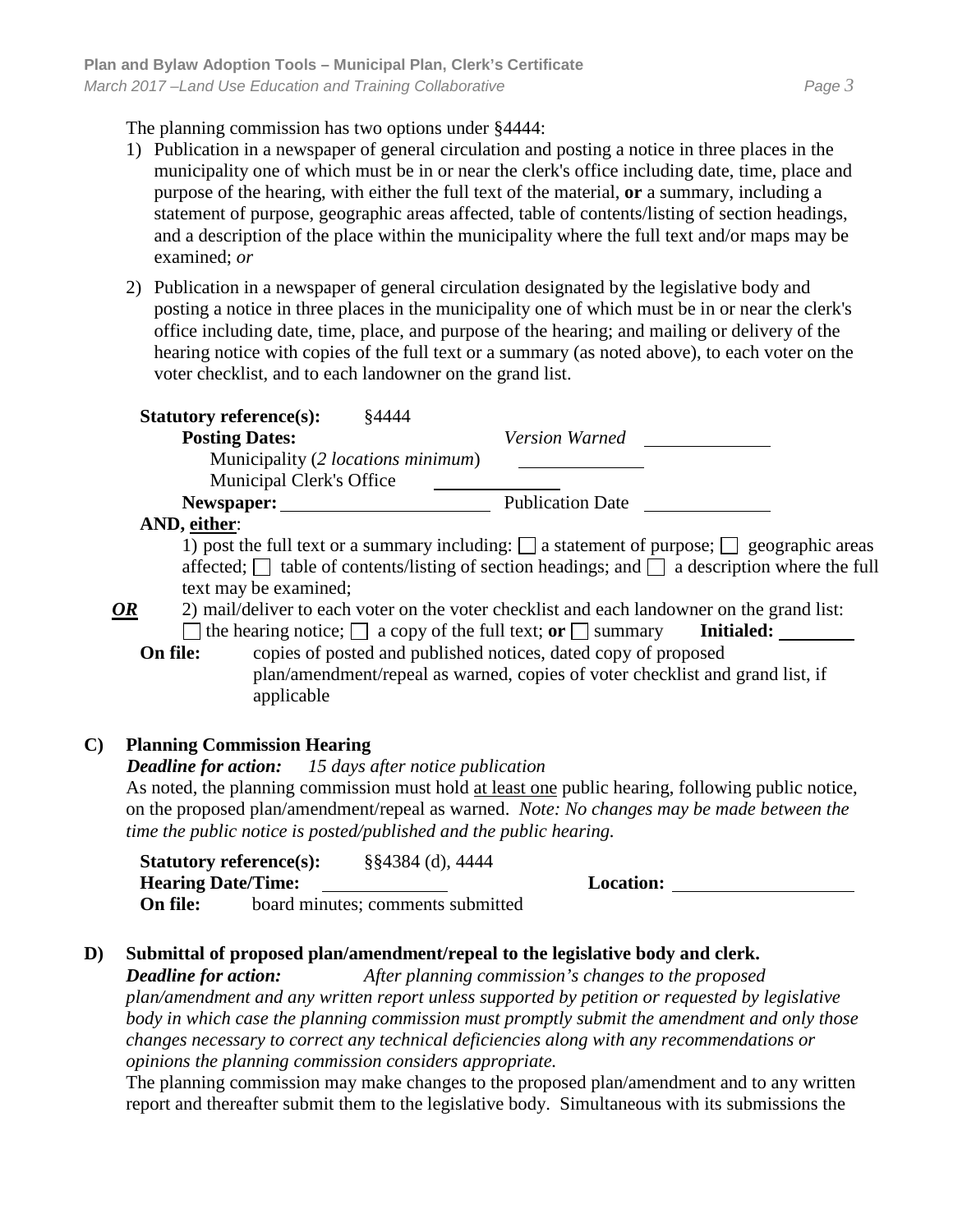The planning commission has two options under §4444:

- 1) Publication in a newspaper of general circulation and posting a notice in three places in the municipality one of which must be in or near the clerk's office including date, time, place and purpose of the hearing, with either the full text of the material, **or** a summary, including a statement of purpose, geographic areas affected, table of contents/listing of section headings, and a description of the place within the municipality where the full text and/or maps may be examined; *or*
- 2) Publication in a newspaper of general circulation designated by the legislative body and posting a notice in three places in the municipality one of which must be in or near the clerk's office including date, time, place, and purpose of the hearing; and mailing or delivery of the hearing notice with copies of the full text or a summary (as noted above), to each voter on the voter checklist, and to each landowner on the grand list.

| <b>Statutory reference(s):</b>                               | §4444                                                                                                   |
|--------------------------------------------------------------|---------------------------------------------------------------------------------------------------------|
| <b>Posting Dates:</b>                                        | <b>Version Warned</b>                                                                                   |
| Municipality (2 locations minimum)                           |                                                                                                         |
| Municipal Clerk's Office                                     |                                                                                                         |
|                                                              | Newspaper: Publication Date                                                                             |
| AND, either:                                                 |                                                                                                         |
|                                                              | 1) post the full text or a summary including: $\Box$ a statement of purpose; $\Box$ geographic areas    |
|                                                              | affected; $\Box$ table of contents/listing of section headings; and $\Box$ a description where the full |
| text may be examined;                                        |                                                                                                         |
| OR                                                           | 2) mail/deliver to each voter on the voter checklist and each landowner on the grand list:              |
|                                                              | the hearing notice; $\Box$ a copy of the full text; or $\Box$ summary<br><b>Initialed:</b>              |
| On file:                                                     | copies of posted and published notices, dated copy of proposed                                          |
| applicable                                                   | plan/amendment/repeal as warned, copies of voter checklist and grand list, if                           |
| C)<br><b>Planning Commission Hearing</b>                     |                                                                                                         |
| <b>Deadline for action:</b> 15 days after notice publication |                                                                                                         |
|                                                              | As noted, the planning commission must hold at least one public hearing, following public notice,       |
|                                                              | on the proposed plan/amendment/repeal as warned. Note: No changes may be made between the               |
|                                                              | time the public notice is posted/published and the public hearing.                                      |
| <b>Statutory reference(s):</b> $\S$ §4384 (d), 4444          |                                                                                                         |
| <b>Hearing Date/Time:</b>                                    | <b>Location:</b>                                                                                        |
| On file:                                                     | board minutes; comments submitted                                                                       |
|                                                              |                                                                                                         |

## **D) Submittal of proposed plan/amendment/repeal to the legislative body and clerk.**

*Deadline for action: After planning commission's changes to the proposed* 

*plan/amendment and any written report unless supported by petition or requested by legislative body in which case the planning commission must promptly submit the amendment and only those changes necessary to correct any technical deficiencies along with any recommendations or opinions the planning commission considers appropriate.* 

The planning commission may make changes to the proposed plan/amendment and to any written report and thereafter submit them to the legislative body. Simultaneous with its submissions the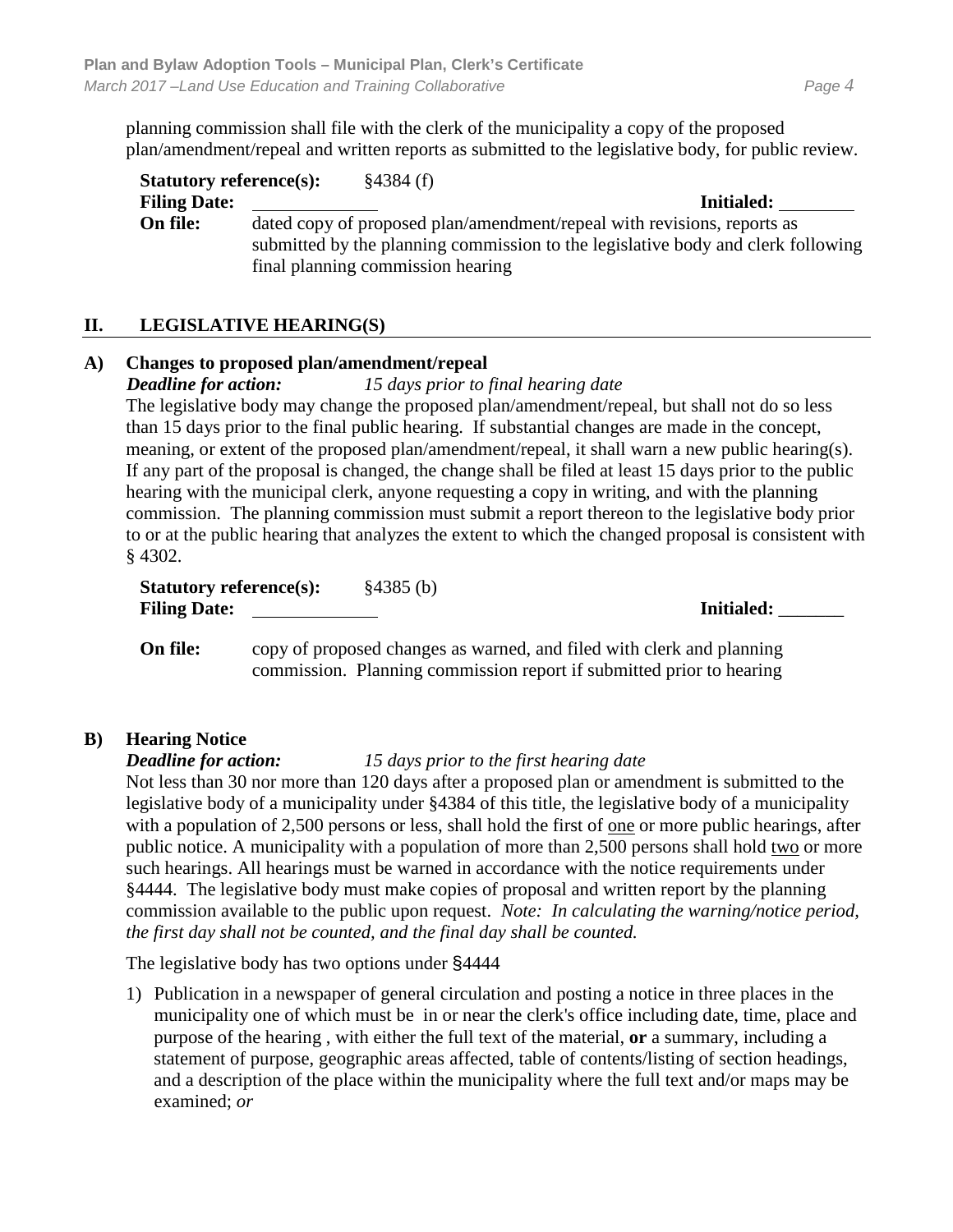planning commission shall file with the clerk of the municipality a copy of the proposed plan/amendment/repeal and written reports as submitted to the legislative body, for public review.

| <b>Statutory reference(s):</b> |                                   | §4384(f) |                                                                                                                                                             |
|--------------------------------|-----------------------------------|----------|-------------------------------------------------------------------------------------------------------------------------------------------------------------|
| <b>Filing Date:</b>            |                                   |          | Initialed:                                                                                                                                                  |
| On file:                       | final planning commission hearing |          | dated copy of proposed plan/amendment/repeal with revisions, reports as<br>submitted by the planning commission to the legislative body and clerk following |

## **II. LEGISLATIVE HEARING(S)**

#### **A) Changes to proposed plan/amendment/repeal**

*Deadline for action: 15 days prior to final hearing date*

The legislative body may change the proposed plan/amendment/repeal, but shall not do so less than 15 days prior to the final public hearing. If substantial changes are made in the concept, meaning, or extent of the proposed plan/amendment/repeal, it shall warn a new public hearing(s). If any part of the proposal is changed, the change shall be filed at least 15 days prior to the public hearing with the municipal clerk, anyone requesting a copy in writing, and with the planning commission. The planning commission must submit a report thereon to the legislative body prior to or at the public hearing that analyzes the extent to which the changed proposal is consistent with § 4302.

**Statutory reference(s):** §4385 (b) **Filing Date: Initialed:** \_\_\_\_\_\_\_

**On file:** copy of proposed changes as warned, and filed with clerk and planning commission. Planning commission report if submitted prior to hearing

## **B) Hearing Notice**

*Deadline for action: 15 days prior to the first hearing date*

Not less than 30 nor more than 120 days after a proposed plan or amendment is submitted to the legislative body of a municipality under §4384 of this title, the legislative body of a municipality with a population of 2,500 persons or less, shall hold the first of one or more public hearings, after public notice. A municipality with a population of more than 2,500 persons shall hold two or more such hearings. All hearings must be warned in accordance with the notice requirements under §4444. The legislative body must make copies of proposal and written report by the planning commission available to the public upon request. *Note: In calculating the warning/notice period, the first day shall not be counted, and the final day shall be counted.*

The legislative body has two options under §4444

1) Publication in a newspaper of general circulation and posting a notice in three places in the municipality one of which must be in or near the clerk's office including date, time, place and purpose of the hearing , with either the full text of the material, **or** a summary, including a statement of purpose, geographic areas affected, table of contents/listing of section headings, and a description of the place within the municipality where the full text and/or maps may be examined; *or*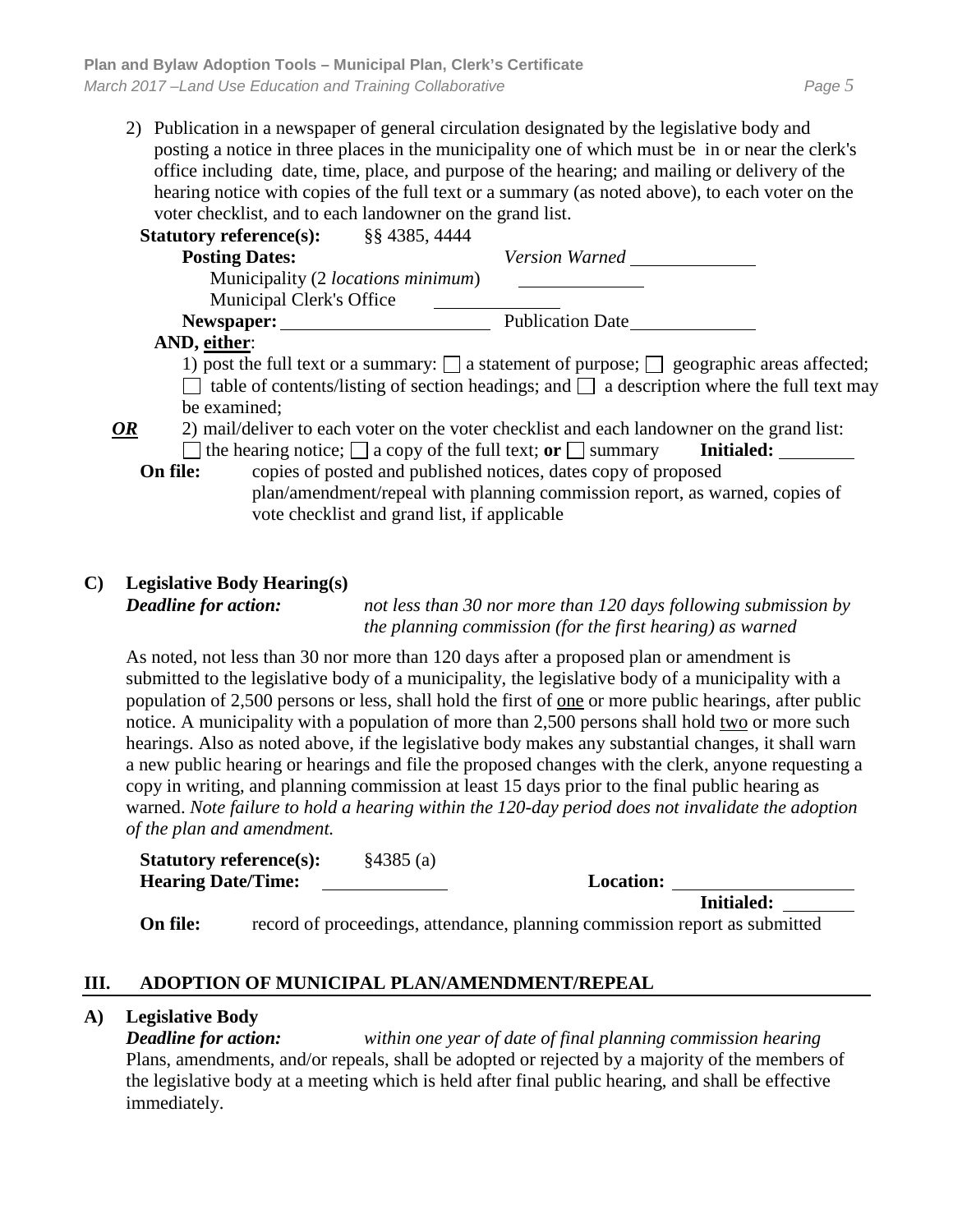| <b>Statutory reference(s):</b>     | §§ 4385, 4444                                                                                        |
|------------------------------------|------------------------------------------------------------------------------------------------------|
| <b>Posting Dates:</b>              | <b>Version Warned</b>                                                                                |
| Municipality (2 locations minimum) |                                                                                                      |
| Municipal Clerk's Office           |                                                                                                      |
| Newspaper:                         | <b>Publication Date</b>                                                                              |
| AND, either:                       |                                                                                                      |
|                                    | 1) post the full text or a summary: $\Box$ a statement of purpose; $\Box$ geographic areas affected; |
|                                    | table of contents/listing of section headings; and $\Box$ a description where the full text may      |
| be examined;                       |                                                                                                      |
| OR                                 | 2) mail/deliver to each voter on the voter checklist and each landowner on the grand list:           |
|                                    | $\Box$ the hearing notice; $\Box$ a copy of the full text; or $\Box$ summary <b>Initialed:</b>       |
| On file:                           | copies of posted and published notices, dates copy of proposed                                       |
|                                    | plan/amendment/repeal with planning commission report, as warned, copies of                          |
|                                    | vote checklist and grand list, if applicable                                                         |

#### **C) Legislative Body Hearing(s)**

*Deadline for action: not less than 30 nor more than 120 days following submission by the planning commission (for the first hearing) as warned*

As noted, not less than 30 nor more than 120 days after a proposed plan or amendment is submitted to the legislative body of a municipality, the legislative body of a municipality with a population of 2,500 persons or less, shall hold the first of one or more public hearings, after public notice. A municipality with a population of more than 2,500 persons shall hold two or more such hearings. Also as noted above, if the legislative body makes any substantial changes, it shall warn a new public hearing or hearings and file the proposed changes with the clerk, anyone requesting a copy in writing, and planning commission at least 15 days prior to the final public hearing as warned. *Note failure to hold a hearing within the 120-day period does not invalidate the adoption of the plan and amendment.*

**Statutory reference(s):** §4385 (a) **Hearing Date/Time: Location:**

**Initialed:** 

**On file:** record of proceedings, attendance, planning commission report as submitted

## **III. ADOPTION OF MUNICIPAL PLAN/AMENDMENT/REPEAL**

#### **A) Legislative Body**

*Deadline for action: within one year of date of final planning commission hearing* Plans, amendments, and/or repeals, shall be adopted or rejected by a majority of the members of the legislative body at a meeting which is held after final public hearing, and shall be effective immediately.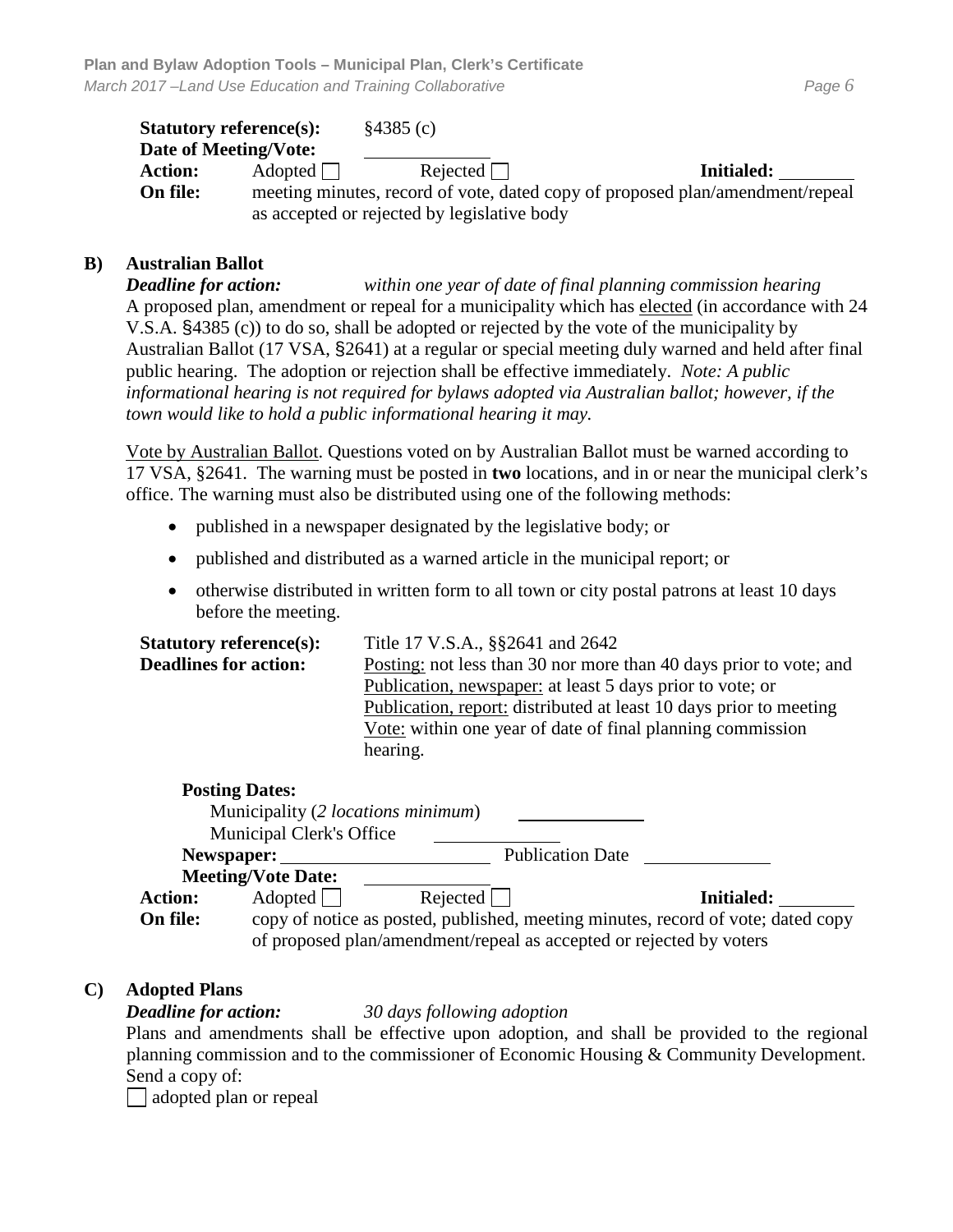|                | <b>Statutory reference(s):</b>                                                | §4385(c)                                    |                   |
|----------------|-------------------------------------------------------------------------------|---------------------------------------------|-------------------|
|                | Date of Meeting/Vote:                                                         |                                             |                   |
| <b>Action:</b> | Adopted                                                                       | Rejected $\Box$                             | <b>Initialed:</b> |
| On file:       | meeting minutes, record of vote, dated copy of proposed plan/amendment/repeal |                                             |                   |
|                |                                                                               | as accepted or rejected by legislative body |                   |

#### **B) Australian Ballot**

*Deadline for action: within one year of date of final planning commission hearing* A proposed plan, amendment or repeal for a municipality which has elected (in accordance with 24 V.S.A. §4385 (c)) to do so, shall be adopted or rejected by the vote of the municipality by Australian Ballot (17 VSA, §2641) at a regular or special meeting duly warned and held after final public hearing. The adoption or rejection shall be effective immediately. *Note: A public informational hearing is not required for bylaws adopted via Australian ballot; however, if the town would like to hold a public informational hearing it may.* 

Vote by Australian Ballot. Questions voted on by Australian Ballot must be warned according to 17 VSA, §2641. The warning must be posted in **two** locations, and in or near the municipal clerk's office. The warning must also be distributed using one of the following methods:

- published in a newspaper designated by the legislative body; or
- published and distributed as a warned article in the municipal report; or
- otherwise distributed in written form to all town or city postal patrons at least 10 days before the meeting.

| <b>Statutory reference(s):</b> | Title 17 V.S.A., §§2641 and 2642                                   |
|--------------------------------|--------------------------------------------------------------------|
| <b>Deadlines for action:</b>   | Posting: not less than 30 nor more than 40 days prior to vote; and |
|                                | Publication, newspaper: at least 5 days prior to vote; or          |
|                                | Publication, report: distributed at least 10 days prior to meeting |
|                                | Vote: within one year of date of final planning commission         |
|                                | hearing.                                                           |

#### **Posting Dates:**

|                | Municipality (2 <i>locations minimum</i> ) |                                                                     |                                                                                  |
|----------------|--------------------------------------------|---------------------------------------------------------------------|----------------------------------------------------------------------------------|
|                | <b>Municipal Clerk's Office</b>            |                                                                     |                                                                                  |
|                | Newspaper:                                 | <b>Publication Date</b>                                             |                                                                                  |
|                | <b>Meeting/Vote Date:</b>                  |                                                                     |                                                                                  |
| <b>Action:</b> | Adopted                                    | Rejected                                                            | <b>Initialed:</b>                                                                |
| On file:       |                                            |                                                                     | copy of notice as posted, published, meeting minutes, record of vote; dated copy |
|                |                                            | of proposed plan/amendment/repeal as accepted or rejected by voters |                                                                                  |

#### **C) Adopted Plans**

#### *Deadline for action: 30 days following adoption*

Plans and amendments shall be effective upon adoption, and shall be provided to the regional planning commission and to the commissioner of Economic Housing & Community Development. Send a copy of:

adopted plan or repeal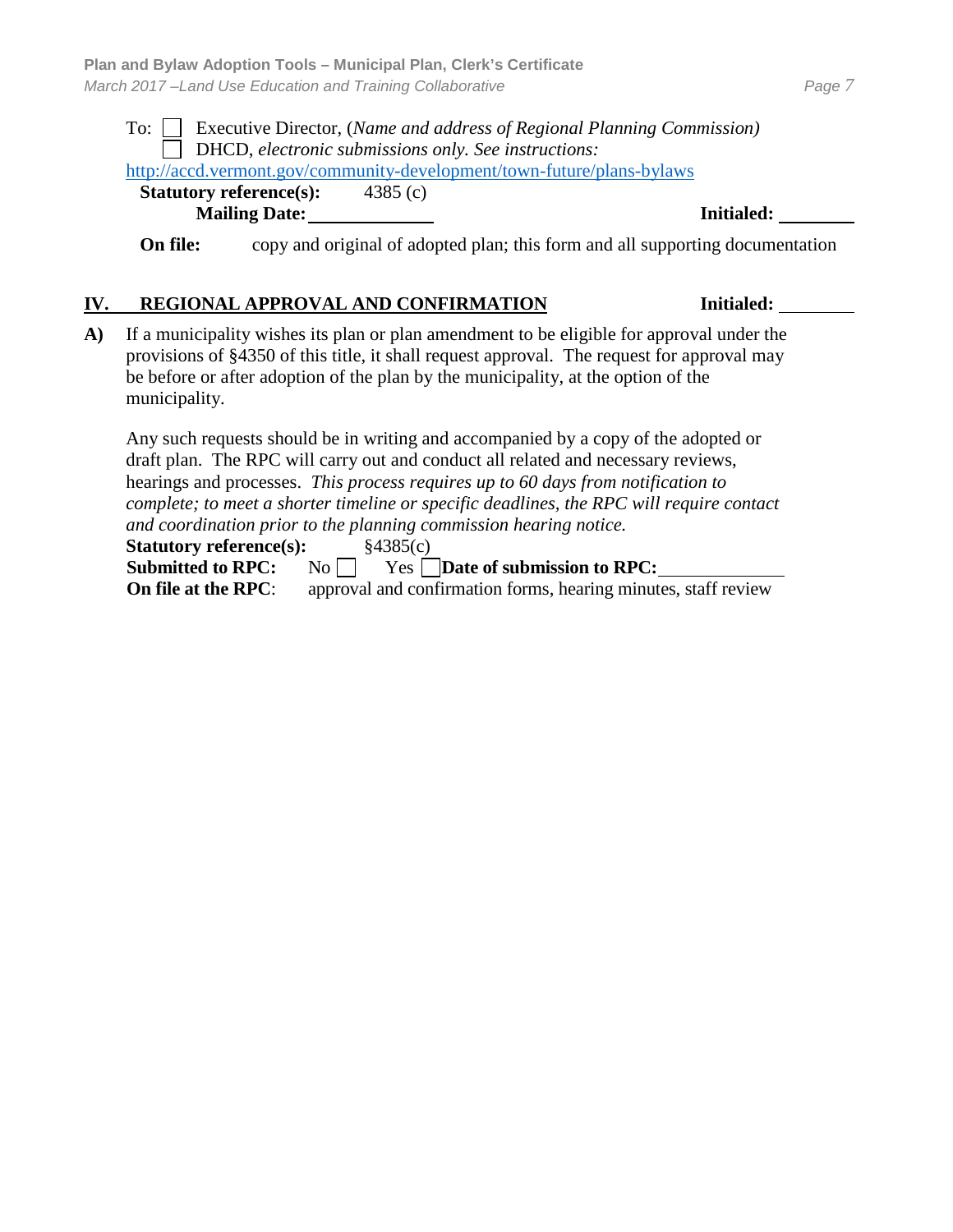#### To: Executive Director, (*Name and address of Regional Planning Commission)* DHCD, *electronic submissions only. See instructions:*  <http://accd.vermont.gov/community-development/town-future/plans-bylaws>

**Statutory reference(s):** 4385 (c) **Mailing Date: Initialed:**

**On file:** copy and original of adopted plan; this form and all supporting documentation

#### **IV. REGIONAL APPROVAL AND CONFIRMATION Initialed:**

**A)** If a municipality wishes its plan or plan amendment to be eligible for approval under the provisions of §4350 of this title, it shall request approval. The request for approval may be before or after adoption of the plan by the municipality, at the option of the municipality.

Any such requests should be in writing and accompanied by a copy of the adopted or draft plan. The RPC will carry out and conduct all related and necessary reviews, hearings and processes. *This process requires up to 60 days from notification to complete; to meet a shorter timeline or specific deadlines, the RPC will require contact and coordination prior to the planning commission hearing notice.*

**Statutory reference(s):** §4385(c)

Submitted to RPC: No Yes Date of submission to RPC:

**On file at the RPC:** approval and confirmation forms, hearing minutes, staff review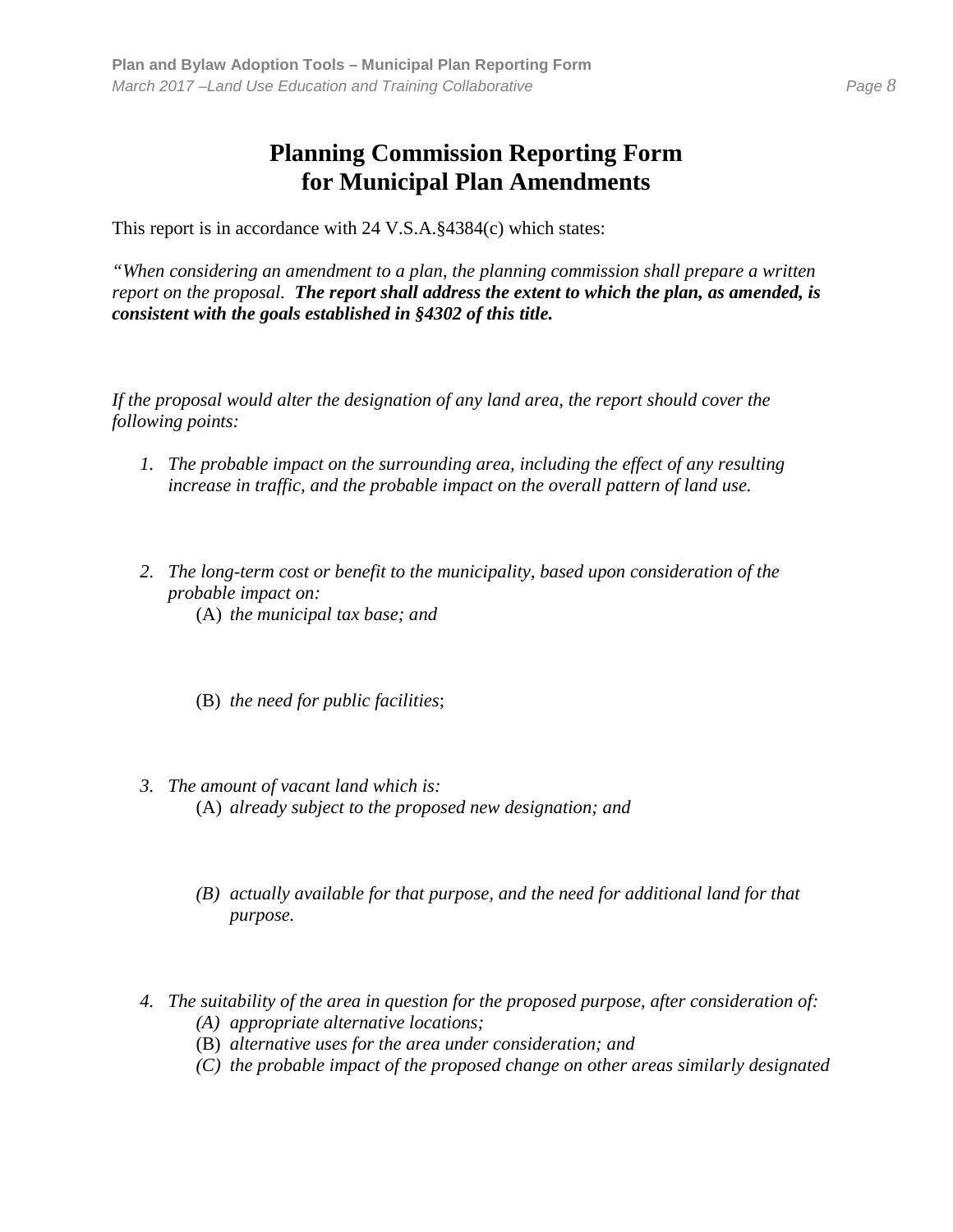# **Planning Commission Reporting Form for Municipal Plan Amendments**

This report is in accordance with 24 V.S.A.§4384(c) which states:

*"When considering an amendment to a plan, the planning commission shall prepare a written report on the proposal. The report shall address the extent to which the plan, as amended, is consistent with the goals established in §4302 of this title.*

*If the proposal would alter the designation of any land area, the report should cover the following points:*

- *1. The probable impact on the surrounding area, including the effect of any resulting increase in traffic, and the probable impact on the overall pattern of land use.*
- *2. The long-term cost or benefit to the municipality, based upon consideration of the probable impact on:* (A) *the municipal tax base; and*
	- (B) *the need for public facilities*;
- *3. The amount of vacant land which is:* (A) *already subject to the proposed new designation; and*
	- *(B) actually available for that purpose, and the need for additional land for that purpose.*
- *4. The suitability of the area in question for the proposed purpose, after consideration of: (A) appropriate alternative locations;* 
	- (B) *alternative uses for the area under consideration; and*
	- *(C) the probable impact of the proposed change on other areas similarly designated*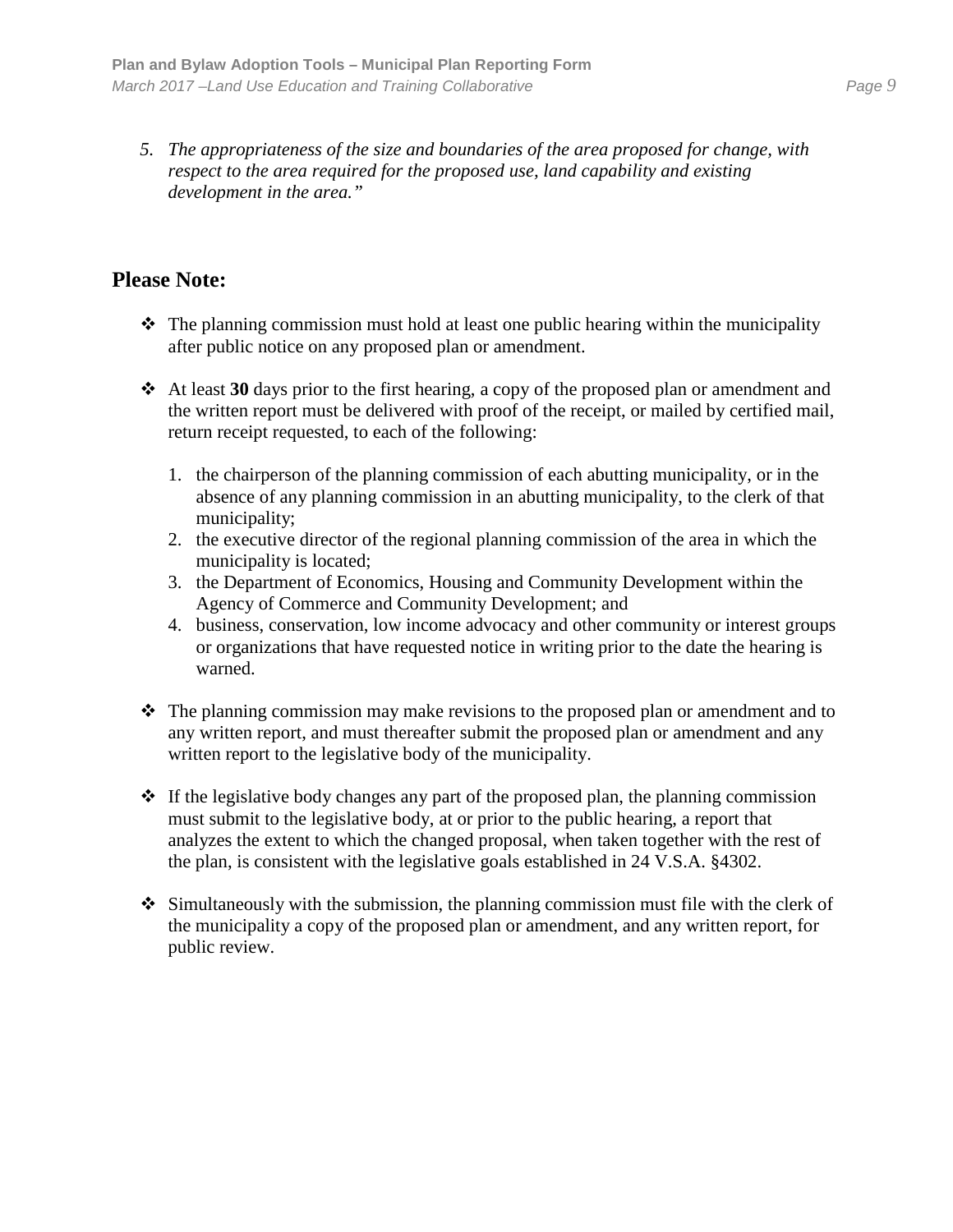*5. The appropriateness of the size and boundaries of the area proposed for change, with respect to the area required for the proposed use, land capability and existing development in the area."*

# **Please Note:**

- $\triangle$  The planning commission must hold at least one public hearing within the municipality after public notice on any proposed plan or amendment.
- At least **30** days prior to the first hearing, a copy of the proposed plan or amendment and the written report must be delivered with proof of the receipt, or mailed by certified mail, return receipt requested, to each of the following:
	- 1. the chairperson of the planning commission of each abutting municipality, or in the absence of any planning commission in an abutting municipality, to the clerk of that municipality;
	- 2. the executive director of the regional planning commission of the area in which the municipality is located;
	- 3. the Department of Economics, Housing and Community Development within the Agency of Commerce and Community Development; and
	- 4. business, conservation, low income advocacy and other community or interest groups or organizations that have requested notice in writing prior to the date the hearing is warned.
- $\hat{\mathbf{v}}$  The planning commission may make revisions to the proposed plan or amendment and to any written report, and must thereafter submit the proposed plan or amendment and any written report to the legislative body of the municipality.
- $\cdot$  If the legislative body changes any part of the proposed plan, the planning commission must submit to the legislative body, at or prior to the public hearing, a report that analyzes the extent to which the changed proposal, when taken together with the rest of the plan, is consistent with the legislative goals established in 24 V.S.A. §4302.
- $\div$  Simultaneously with the submission, the planning commission must file with the clerk of the municipality a copy of the proposed plan or amendment, and any written report, for public review.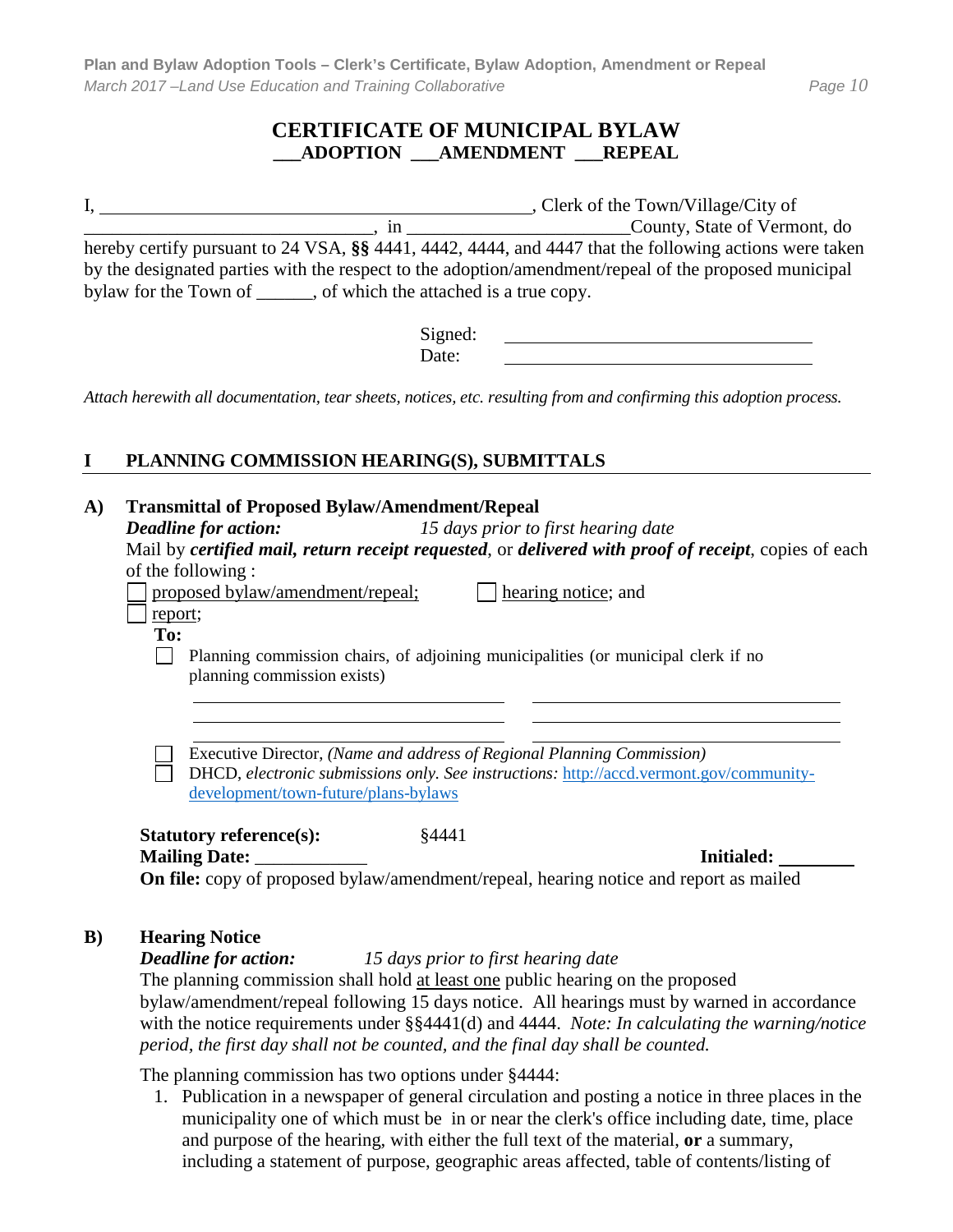#### **CERTIFICATE OF MUNICIPAL BYLAW \_\_\_ADOPTION \_\_\_AMENDMENT \_\_\_REPEAL**

|                                                |                                         | , Clerk of the Town/Village/City of                                                                    |
|------------------------------------------------|-----------------------------------------|--------------------------------------------------------------------------------------------------------|
|                                                | m                                       | County, State of Vermont, do                                                                           |
|                                                |                                         | hereby certify pursuant to 24 VSA, §§ 4441, 4442, 4444, and 4447 that the following actions were taken |
|                                                |                                         | by the designated parties with the respect to the adoption/amendment/repeal of the proposed municipal  |
| bylaw for the Town of $\overline{\phantom{a}}$ | , of which the attached is a true copy. |                                                                                                        |

Signed: Date:

*Attach herewith all documentation, tear sheets, notices, etc. resulting from and confirming this adoption process.*

#### **I PLANNING COMMISSION HEARING(S), SUBMITTALS**

# **A) Transmittal of Proposed Bylaw/Amendment/Repeal** *Deadline for action: 15 days prior to first hearing date* Mail by *certified mail, return receipt requested*, or *delivered with proof of receipt*, copies of each of the following :

proposed bylaw/amendment/repeal;  $\Box$  hearing notice; and

report; **To:**

> Planning commission chairs, of adjoining municipalities (or municipal clerk if no planning commission exists)

Executive Director, *(Name and address of Regional Planning Commission)*

DHCD, *electronic submissions only. See instructions:* [http://accd.vermont.gov/community](http://accd.vermont.gov/community-development/town-future/plans-bylaws)[development/town-future/plans-bylaws](http://accd.vermont.gov/community-development/town-future/plans-bylaws)

**Statutory reference(s):** \\$4441 **Mailing Date: Initialed: Initialed:** 

**On file:** copy of proposed bylaw/amendment/repeal, hearing notice and report as mailed

#### **B) Hearing Notice**

*Deadline for action: 15 days prior to first hearing date*

The planning commission shall hold at least one public hearing on the proposed bylaw/amendment/repeal following 15 days notice. All hearings must by warned in accordance with the notice requirements under §§4441(d) and 4444. *Note: In calculating the warning/notice period, the first day shall not be counted, and the final day shall be counted.*

The planning commission has two options under §4444:

1. Publication in a newspaper of general circulation and posting a notice in three places in the municipality one of which must be in or near the clerk's office including date, time, place and purpose of the hearing, with either the full text of the material, **or** a summary, including a statement of purpose, geographic areas affected, table of contents/listing of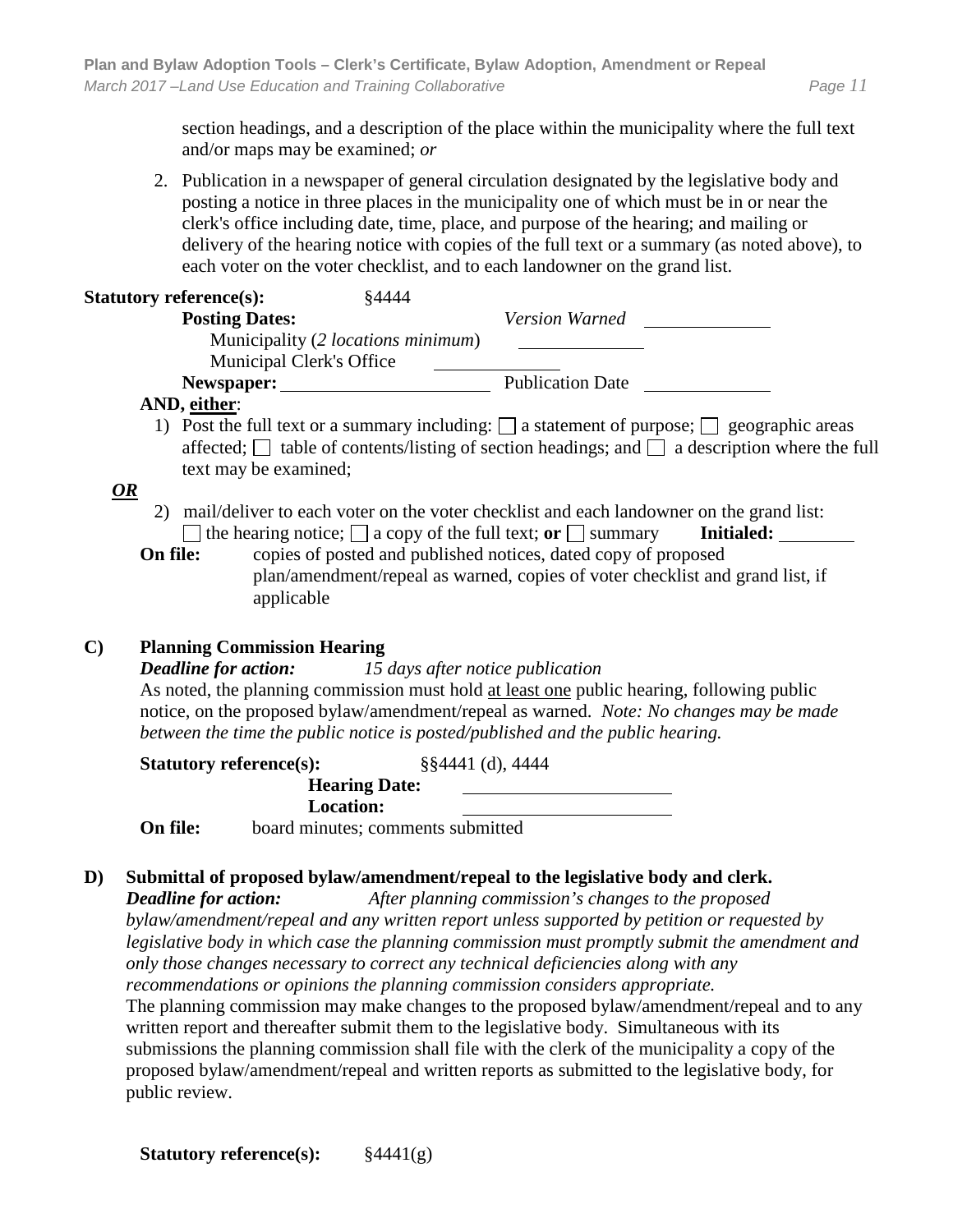section headings, and a description of the place within the municipality where the full text and/or maps may be examined; *or*

2. Publication in a newspaper of general circulation designated by the legislative body and posting a notice in three places in the municipality one of which must be in or near the clerk's office including date, time, place, and purpose of the hearing; and mailing or delivery of the hearing notice with copies of the full text or a summary (as noted above), to each voter on the voter checklist, and to each landowner on the grand list.

| §4444<br><b>Statutory reference(s):</b>    |                                                                                                      |
|--------------------------------------------|------------------------------------------------------------------------------------------------------|
| <b>Posting Dates:</b>                      | Version Warned                                                                                       |
| Municipality (2 <i>locations minimum</i> ) |                                                                                                      |
| <b>Municipal Clerk's Office</b>            |                                                                                                      |
| Newspaper:                                 | <b>Publication Date</b>                                                                              |
| AND, either:                               |                                                                                                      |
|                                            | 1) Post the full text or a summary including: $\Box$ a statement of purpose: $\Box$ geographic areas |

1) Post the full text or a summary including:  $\Box$  a statement of purpose;  $\Box$  geographic areas affected;  $\Box$  table of contents/listing of section headings; and  $\Box$  a description where the full text may be examined;

#### *OR*

- 2) mail/deliver to each voter on the voter checklist and each landowner on the grand list:  $\Box$  the hearing notice;  $\Box$  a copy of the full text; **or**  $\Box$  summary **Initialed:**
- **On file:** copies of posted and published notices, dated copy of proposed plan/amendment/repeal as warned, copies of voter checklist and grand list, if applicable

#### **C) Planning Commission Hearing**

*Deadline for action: 15 days after notice publication* As noted, the planning commission must hold at least one public hearing, following public notice, on the proposed bylaw/amendment/repeal as warned. *Note: No changes may be made between the time the public notice is posted/published and the public hearing.*

|          | <b>Statutory reference(s):</b> | $\S$ \$4441 (d), 4444             |  |
|----------|--------------------------------|-----------------------------------|--|
|          | <b>Hearing Date:</b>           |                                   |  |
|          | <b>Location:</b>               |                                   |  |
| On file: |                                | board minutes; comments submitted |  |

## **D) Submittal of proposed bylaw/amendment/repeal to the legislative body and clerk.**

*Deadline for action: After planning commission's changes to the proposed bylaw/amendment/repeal and any written report unless supported by petition or requested by legislative body in which case the planning commission must promptly submit the amendment and only those changes necessary to correct any technical deficiencies along with any recommendations or opinions the planning commission considers appropriate.* 

The planning commission may make changes to the proposed bylaw/amendment/repeal and to any written report and thereafter submit them to the legislative body. Simultaneous with its submissions the planning commission shall file with the clerk of the municipality a copy of the proposed bylaw/amendment/repeal and written reports as submitted to the legislative body, for public review.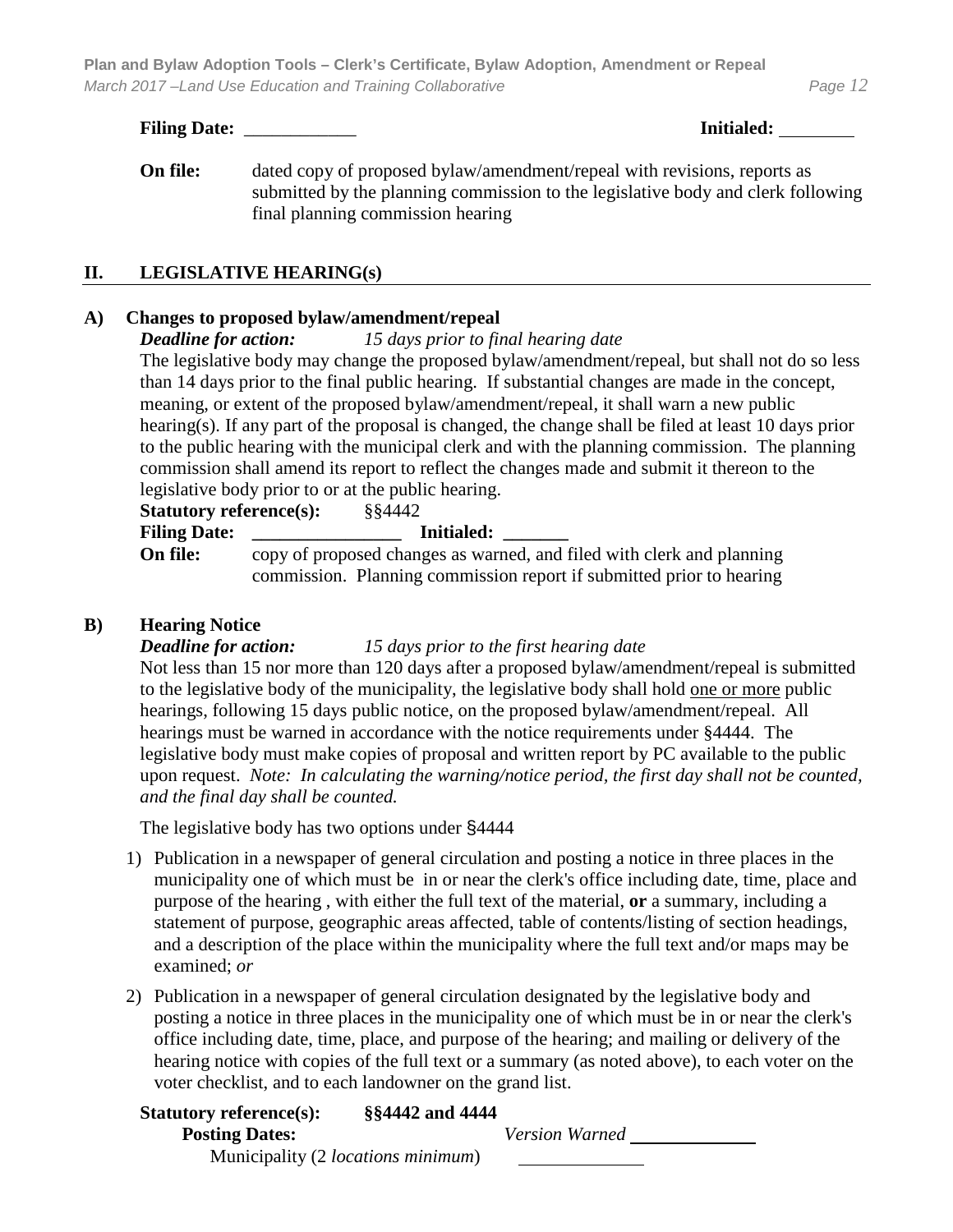**Plan and Bylaw Adoption Tools – Clerk's Certificate, Bylaw Adoption, Amendment or Repeal** *March 2017 –Land Use Education and Training Collaborative Page 12*

#### **Filing Date:** \_\_\_\_\_\_\_\_\_\_\_\_ **Initialed:**

**On file:** dated copy of proposed bylaw/amendment/repeal with revisions, reports as submitted by the planning commission to the legislative body and clerk following final planning commission hearing

#### **II. LEGISLATIVE HEARING(s)**

#### **A) Changes to proposed bylaw/amendment/repeal**

*Deadline for action: 15 days prior to final hearing date*

The legislative body may change the proposed bylaw/amendment/repeal, but shall not do so less than 14 days prior to the final public hearing. If substantial changes are made in the concept, meaning, or extent of the proposed bylaw/amendment/repeal, it shall warn a new public hearing(s). If any part of the proposal is changed, the change shall be filed at least 10 days prior to the public hearing with the municipal clerk and with the planning commission. The planning commission shall amend its report to reflect the changes made and submit it thereon to the legislative body prior to or at the public hearing.

| <b>Statutory reference(s):</b> | §§4442                                                                                                                                        |
|--------------------------------|-----------------------------------------------------------------------------------------------------------------------------------------------|
| <b>Filing Date:</b>            | <b>Initialed:</b>                                                                                                                             |
| On file:                       | copy of proposed changes as warned, and filed with clerk and planning<br>commission. Planning commission report if submitted prior to hearing |
|                                |                                                                                                                                               |

#### **B) Hearing Notice**

#### *Deadline for action: 15 days prior to the first hearing date*

Not less than 15 nor more than 120 days after a proposed bylaw/amendment/repeal is submitted to the legislative body of the municipality, the legislative body shall hold one or more public hearings, following 15 days public notice, on the proposed bylaw/amendment/repeal. All hearings must be warned in accordance with the notice requirements under §4444. The legislative body must make copies of proposal and written report by PC available to the public upon request. *Note: In calculating the warning/notice period, the first day shall not be counted, and the final day shall be counted.*

The legislative body has two options under §4444

- 1) Publication in a newspaper of general circulation and posting a notice in three places in the municipality one of which must be in or near the clerk's office including date, time, place and purpose of the hearing , with either the full text of the material, **or** a summary, including a statement of purpose, geographic areas affected, table of contents/listing of section headings, and a description of the place within the municipality where the full text and/or maps may be examined; *or*
- 2) Publication in a newspaper of general circulation designated by the legislative body and posting a notice in three places in the municipality one of which must be in or near the clerk's office including date, time, place, and purpose of the hearing; and mailing or delivery of the hearing notice with copies of the full text or a summary (as noted above), to each voter on the voter checklist, and to each landowner on the grand list.

| <b>Statutory reference(s):</b>             | §§4442 and 4444 |                       |  |
|--------------------------------------------|-----------------|-----------------------|--|
| <b>Posting Dates:</b>                      |                 | <b>Version Warned</b> |  |
| Municipality (2 <i>locations minimum</i> ) |                 |                       |  |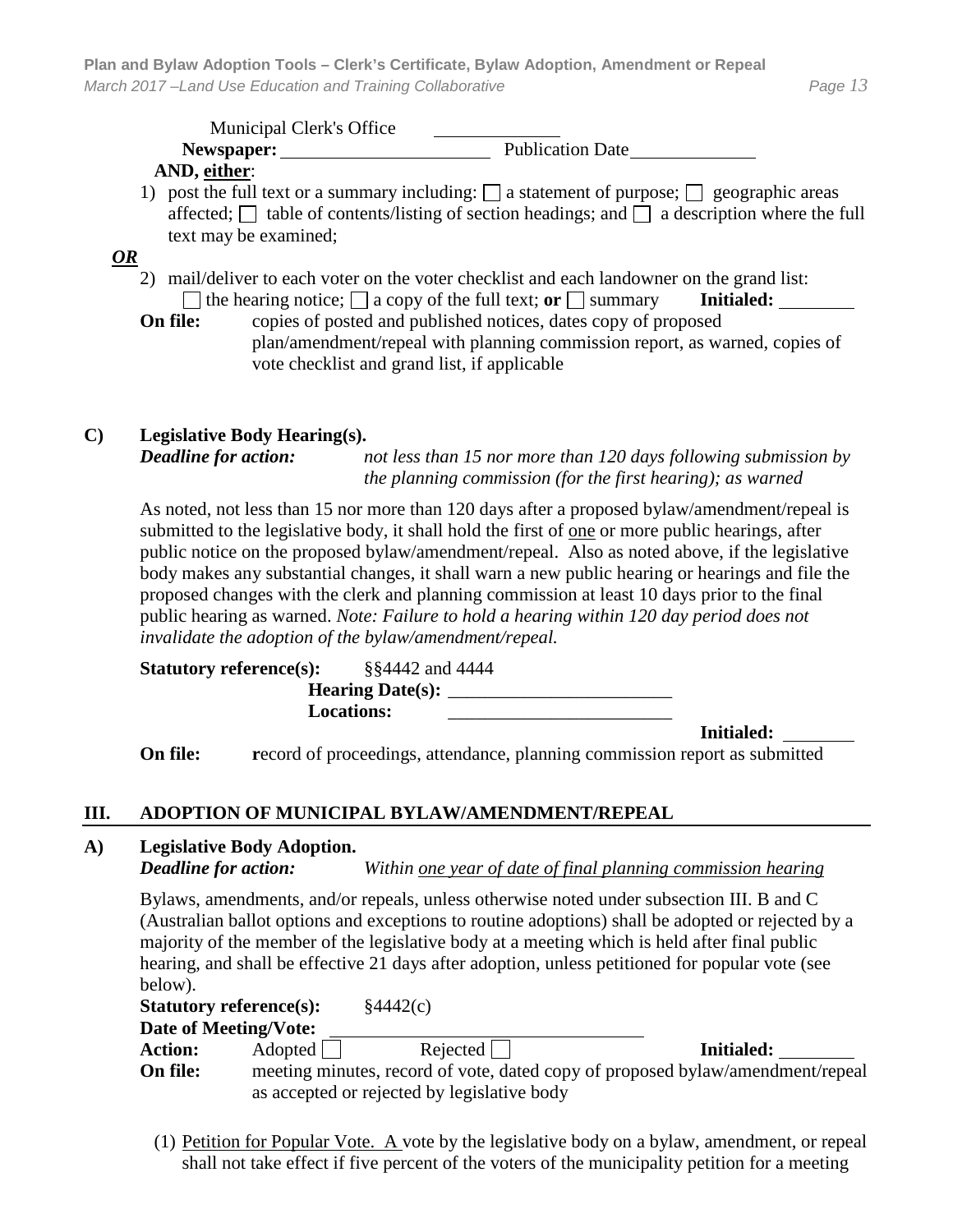Municipal Clerk's Office Newspaper: Newspaper: Publication Date **AND, either**: 1) post the full text or a summary including:  $\Box$  a statement of purpose;  $\Box$  geographic areas affected;  $\Box$  table of contents/listing of section headings; and  $\Box$  a description where the full text may be examined; *OR* 2) mail/deliver to each voter on the voter checklist and each landowner on the grand list:  $\Box$  the hearing notice;  $\Box$  a copy of the full text; **or**  $\Box$  summary **Initialed: On file:** copies of posted and published notices, dates copy of proposed plan/amendment/repeal with planning commission report, as warned, copies of vote checklist and grand list, if applicable

#### **C) Legislative Body Hearing(s).**  *Deadline for action: not less than 15 nor more than 120 days following submission by the planning commission (for the first hearing); as warned*

As noted, not less than 15 nor more than 120 days after a proposed bylaw/amendment/repeal is submitted to the legislative body, it shall hold the first of <u>one</u> or more public hearings, after public notice on the proposed bylaw/amendment/repeal. Also as noted above, if the legislative body makes any substantial changes, it shall warn a new public hearing or hearings and file the proposed changes with the clerk and planning commission at least 10 days prior to the final public hearing as warned. *Note: Failure to hold a hearing within 120 day period does not invalidate the adoption of the bylaw/amendment/repeal.*

**Statutory reference(s):** §§4442 and 4444 **Hearing Date(s):** \_\_\_\_\_\_\_\_\_\_\_\_\_\_\_\_\_\_\_\_\_\_\_\_ Locations:

**Initialed:** 

**On file: record of proceedings, attendance, planning commission report as submitted** 

## **III. ADOPTION OF MUNICIPAL BYLAW/AMENDMENT/REPEAL**

# **A) Legislative Body Adoption.**

*Deadline for action: Within one year of date of final planning commission hearing*

Bylaws, amendments, and/or repeals, unless otherwise noted under subsection III. B and C (Australian ballot options and exceptions to routine adoptions) shall be adopted or rejected by a majority of the member of the legislative body at a meeting which is held after final public hearing, and shall be effective 21 days after adoption, unless petitioned for popular vote (see below).

|                | <b>Statutory reference(s):</b>                                                 | $\frac{1}{2}4442(c)$ |  |            |  |  |
|----------------|--------------------------------------------------------------------------------|----------------------|--|------------|--|--|
|                | Date of Meeting/Vote:                                                          |                      |  |            |  |  |
| <b>Action:</b> | Adopted                                                                        | $Rejected$           |  | Initialed: |  |  |
| On file:       | meeting minutes, record of vote, dated copy of proposed bylaw/amendment/repeal |                      |  |            |  |  |
|                | as accepted or rejected by legislative body                                    |                      |  |            |  |  |

(1) Petition for Popular Vote. A vote by the legislative body on a bylaw, amendment, or repeal shall not take effect if five percent of the voters of the municipality petition for a meeting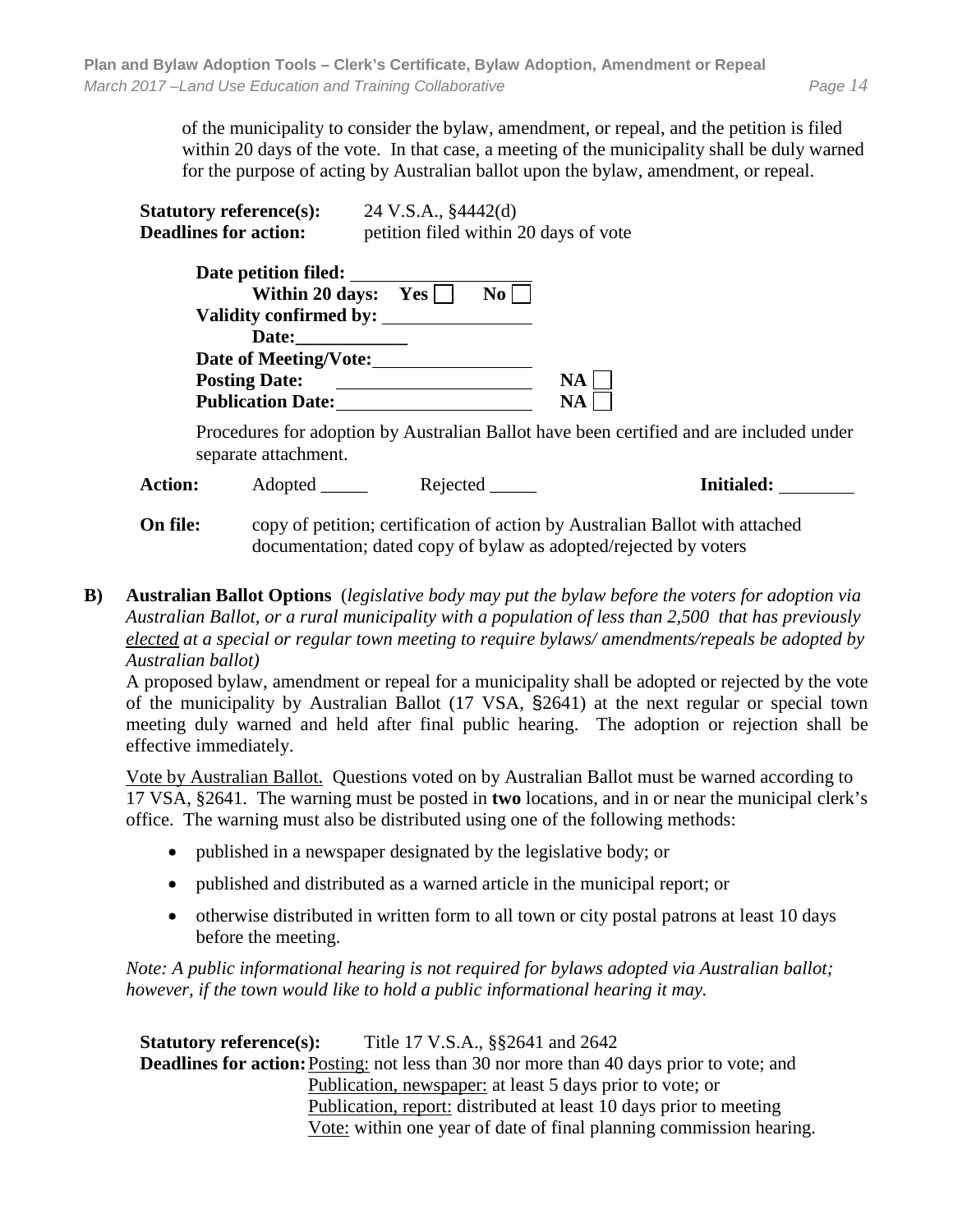of the municipality to consider the bylaw, amendment, or repeal, and the petition is filed within 20 days of the vote. In that case, a meeting of the municipality shall be duly warned for the purpose of acting by Australian ballot upon the bylaw, amendment, or repeal.

| <b>Statutory reference(s):</b>                 | 24 V.S.A., §4442(d)<br>petition filed within 20 days of vote |  |  |  |
|------------------------------------------------|--------------------------------------------------------------|--|--|--|
| <b>Deadlines for action:</b>                   |                                                              |  |  |  |
| Date petition filed:<br>Validity confirmed by: | Within 20 days: $Yes \mid \mid$<br>$\bf{No}$                 |  |  |  |
| Date:                                          |                                                              |  |  |  |
| Date of Meeting/Vote:                          |                                                              |  |  |  |

**Posting Date: NA Publication Date: NA** 

Procedures for adoption by Australian Ballot have been certified and are included under separate attachment.

**Action:** Adopted \_\_\_\_\_ Rejected \_\_\_\_\_ **Initialed:**

**On file:** copy of petition; certification of action by Australian Ballot with attached documentation; dated copy of bylaw as adopted/rejected by voters

**B) Australian Ballot Options** (*legislative body may put the bylaw before the voters for adoption via Australian Ballot, or a rural municipality with a population of less than 2,500 that has previously elected at a special or regular town meeting to require bylaws/ amendments/repeals be adopted by Australian ballot)*

A proposed bylaw, amendment or repeal for a municipality shall be adopted or rejected by the vote of the municipality by Australian Ballot (17 VSA, §2641) at the next regular or special town meeting duly warned and held after final public hearing. The adoption or rejection shall be effective immediately.

Vote by Australian Ballot. Questions voted on by Australian Ballot must be warned according to 17 VSA, §2641. The warning must be posted in **two** locations, and in or near the municipal clerk's office. The warning must also be distributed using one of the following methods:

- published in a newspaper designated by the legislative body; or
- published and distributed as a warned article in the municipal report; or
- otherwise distributed in written form to all town or city postal patrons at least 10 days before the meeting.

*Note: A public informational hearing is not required for bylaws adopted via Australian ballot; however, if the town would like to hold a public informational hearing it may.* 

**Statutory reference(s):** Title 17 V.S.A., §§2641 and 2642 **Deadlines for action:** Posting: not less than 30 nor more than 40 days prior to vote; and Publication, newspaper: at least 5 days prior to vote; or Publication, report: distributed at least 10 days prior to meeting Vote: within one year of date of final planning commission hearing.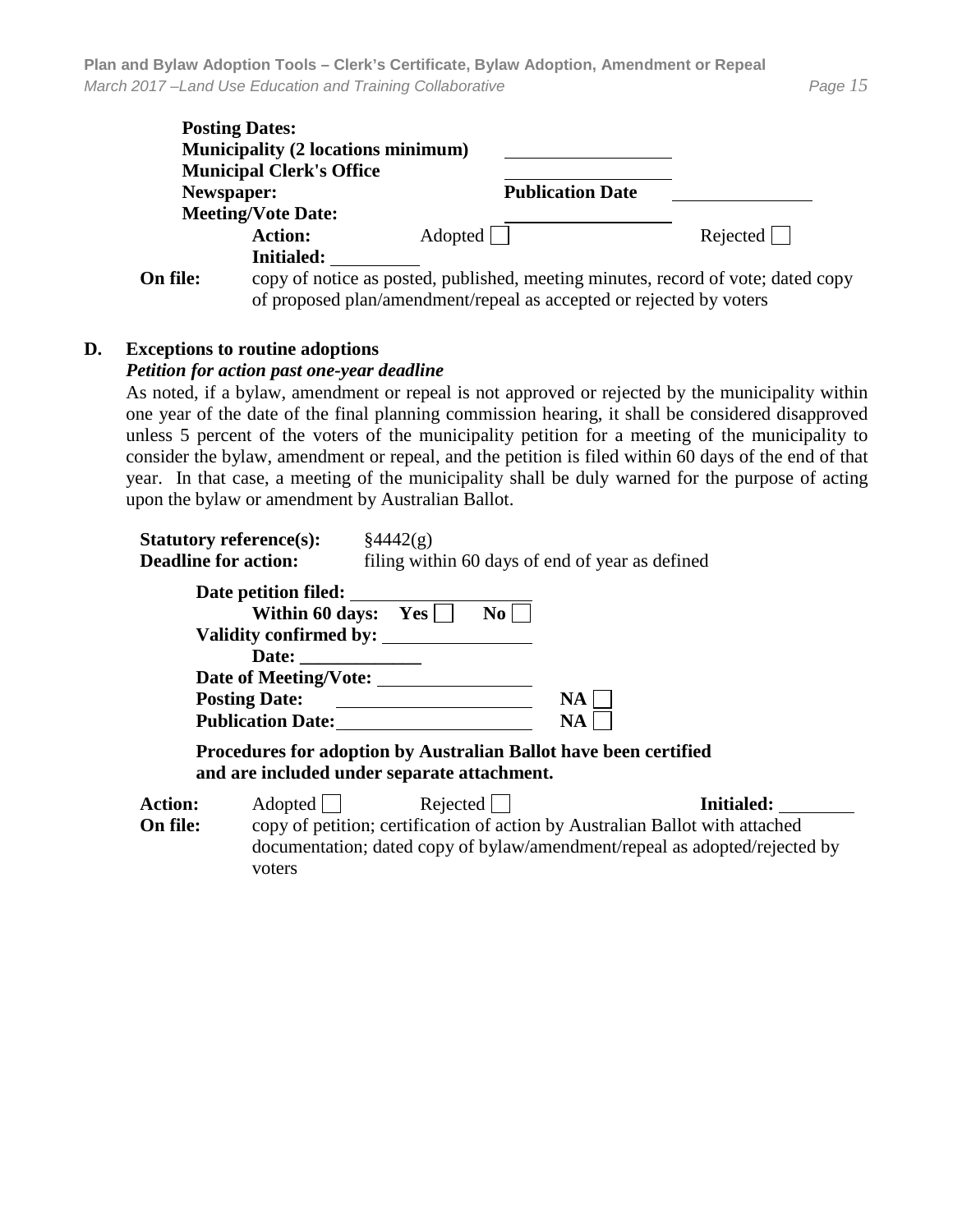|          | <b>Posting Dates:</b><br><b>Municipality (2 locations minimum)</b>               |                         |            |  |  |
|----------|----------------------------------------------------------------------------------|-------------------------|------------|--|--|
|          | <b>Municipal Clerk's Office</b>                                                  |                         |            |  |  |
|          | Newspaper:                                                                       | <b>Publication Date</b> |            |  |  |
|          | <b>Meeting/Vote Date:</b>                                                        |                         |            |  |  |
|          | <b>Action:</b>                                                                   | Adopted                 | $Rejected$ |  |  |
|          | <b>Initialed:</b>                                                                |                         |            |  |  |
| On file: | copy of notice as posted, published, meeting minutes, record of vote; dated copy |                         |            |  |  |

of proposed plan/amendment/repeal as accepted or rejected by voters

#### **D. Exceptions to routine adoptions**

#### *Petition for action past one-year deadline*

As noted, if a bylaw, amendment or repeal is not approved or rejected by the municipality within one year of the date of the final planning commission hearing, it shall be considered disapproved unless 5 percent of the voters of the municipality petition for a meeting of the municipality to consider the bylaw, amendment or repeal, and the petition is filed within 60 days of the end of that year. In that case, a meeting of the municipality shall be duly warned for the purpose of acting upon the bylaw or amendment by Australian Ballot.

| <b>Statutory reference(s):</b><br><b>Deadline for action:</b>                                                   |                                                                                                                                 | $\frac{84442(g)}{g}$<br>filing within 60 days of end of year as defined                          |                        |                                                                                                                                                                                 |  |  |
|-----------------------------------------------------------------------------------------------------------------|---------------------------------------------------------------------------------------------------------------------------------|--------------------------------------------------------------------------------------------------|------------------------|---------------------------------------------------------------------------------------------------------------------------------------------------------------------------------|--|--|
|                                                                                                                 | Date petition filed:<br>Within 60 days: $Yes \mid$<br>Date of Meeting/Vote:<br><b>Posting Date:</b><br><b>Publication Date:</b> | $\bf{No}$<br>Validity confirmed by:<br><u> 1980 - Andrea Station Books, amerikansk politik (</u> | <b>NA</b><br><b>NA</b> |                                                                                                                                                                                 |  |  |
| Procedures for adoption by Australian Ballot have been certified<br>and are included under separate attachment. |                                                                                                                                 |                                                                                                  |                        |                                                                                                                                                                                 |  |  |
| <b>Action:</b><br>On file:                                                                                      | Adopted    <br>voters                                                                                                           | Rejected                                                                                         |                        | <b>Initialed:</b><br>copy of petition; certification of action by Australian Ballot with attached<br>documentation; dated copy of bylaw/amendment/repeal as adopted/rejected by |  |  |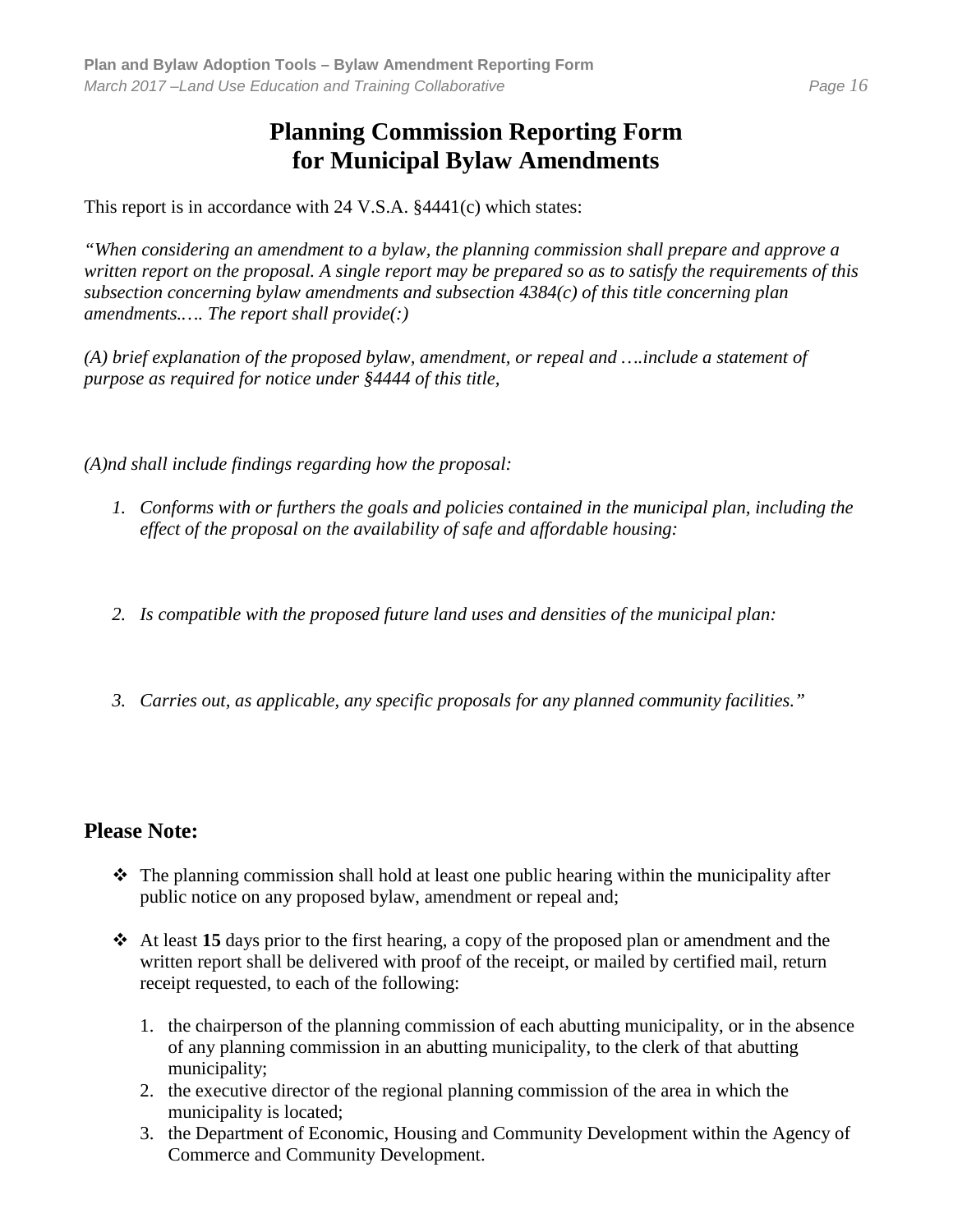# **Planning Commission Reporting Form for Municipal Bylaw Amendments**

This report is in accordance with 24 V.S.A. §4441(c) which states:

*"When considering an amendment to a bylaw, the planning commission shall prepare and approve a written report on the proposal. A single report may be prepared so as to satisfy the requirements of this subsection concerning bylaw amendments and subsection 4384(c) of this title concerning plan amendments.…. The report shall provide(:)*

*(A) brief explanation of the proposed bylaw, amendment, or repeal and ….include a statement of purpose as required for notice under §4444 of this title,*

*(A)nd shall include findings regarding how the proposal:*

- *1. Conforms with or furthers the goals and policies contained in the municipal plan, including the effect of the proposal on the availability of safe and affordable housing:*
- *2. Is compatible with the proposed future land uses and densities of the municipal plan:*
- *3. Carries out, as applicable, any specific proposals for any planned community facilities."*

## **Please Note:**

- $\hat{\mathbf{v}}$  The planning commission shall hold at least one public hearing within the municipality after public notice on any proposed bylaw, amendment or repeal and;
- At least **15** days prior to the first hearing, a copy of the proposed plan or amendment and the written report shall be delivered with proof of the receipt, or mailed by certified mail, return receipt requested, to each of the following:
	- 1. the chairperson of the planning commission of each abutting municipality, or in the absence of any planning commission in an abutting municipality, to the clerk of that abutting municipality;
	- 2. the executive director of the regional planning commission of the area in which the municipality is located;
	- 3. the Department of Economic, Housing and Community Development within the Agency of Commerce and Community Development.